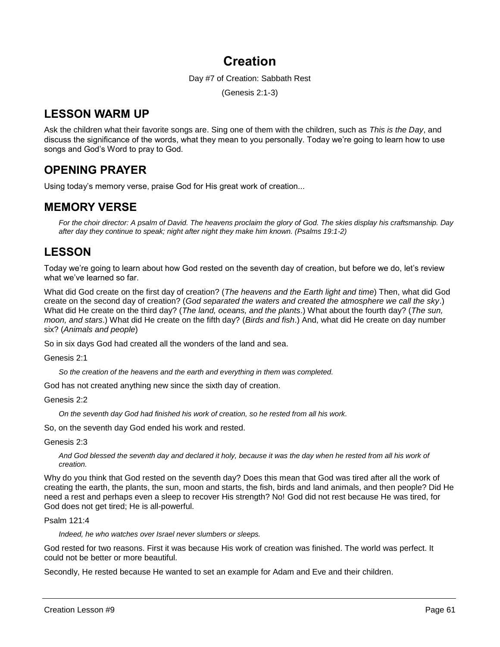# **Creation**

Day #7 of Creation: Sabbath Rest

(Genesis 2:1-3)

# **LESSON WARM UP**

Ask the children what their favorite songs are. Sing one of them with the children, such as *This is the Day*, and discuss the significance of the words, what they mean to you personally. Today we're going to learn how to use songs and God's Word to pray to God.

# **OPENING PRAYER**

Using today's memory verse, praise God for His great work of creation...

## **MEMORY VERSE**

*For the choir director: A psalm of David. The heavens proclaim the glory of God. The skies display his craftsmanship. Day after day they continue to speak; night after night they make him known. (Psalms 19:1-2)*

# **LESSON**

Today we're going to learn about how God rested on the seventh day of creation, but before we do, let's review what we've learned so far.

What did God create on the first day of creation? (*The heavens and the Earth light and time*) Then, what did God create on the second day of creation? (*God separated the waters and created the atmosphere we call the sky*.) What did He create on the third day? (*The land, oceans, and the plants*.) What about the fourth day? (*The sun, moon, and stars*.) What did He create on the fifth day? (*Birds and fish*.) And, what did He create on day number six? (*Animals and people*)

So in six days God had created all the wonders of the land and sea.

Genesis 2:1

*So the creation of the heavens and the earth and everything in them was completed.*

God has not created anything new since the sixth day of creation.

Genesis 2:2

*On the seventh day God had finished his work of creation, so he rested from all his work.*

So, on the seventh day God ended his work and rested.

Genesis 2:3

And God blessed the seventh day and declared it holy, because it was the day when he rested from all his work of *creation.*

Why do you think that God rested on the seventh day? Does this mean that God was tired after all the work of creating the earth, the plants, the sun, moon and starts, the fish, birds and land animals, and then people? Did He need a rest and perhaps even a sleep to recover His strength? No! God did not rest because He was tired, for God does not get tired; He is all-powerful.

#### Psalm 121:4

*Indeed, he who watches over Israel never slumbers or sleeps.* 

God rested for two reasons. First it was because His work of creation was finished. The world was perfect. It could not be better or more beautiful.

Secondly, He rested because He wanted to set an example for Adam and Eve and their children.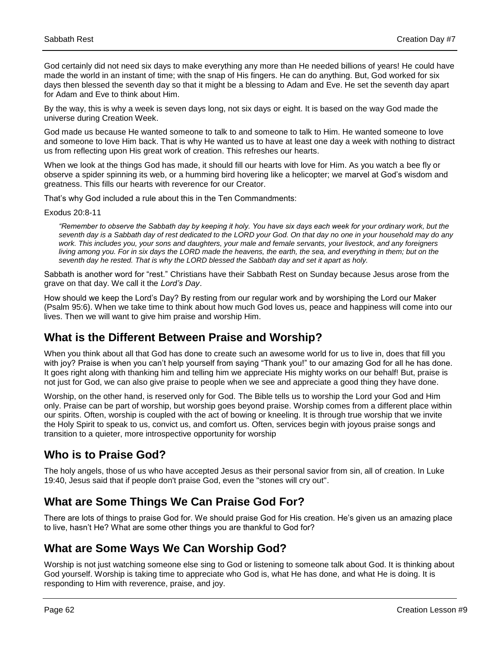God certainly did not need six days to make everything any more than He needed billions of years! He could have made the world in an instant of time; with the snap of His fingers. He can do anything. But, God worked for six days then blessed the seventh day so that it might be a blessing to Adam and Eve. He set the seventh day apart for Adam and Eve to think about Him.

By the way, this is why a week is seven days long, not six days or eight. It is based on the way God made the universe during Creation Week.

God made us because He wanted someone to talk to and someone to talk to Him. He wanted someone to love and someone to love Him back. That is why He wanted us to have at least one day a week with nothing to distract us from reflecting upon His great work of creation. This refreshes our hearts.

When we look at the things God has made, it should fill our hearts with love for Him. As you watch a bee fly or observe a spider spinning its web, or a humming bird hovering like a helicopter; we marvel at God's wisdom and greatness. This fills our hearts with reverence for our Creator.

That's why God included a rule about this in the Ten Commandments:

Exodus 20:8-11

*"Remember to observe the Sabbath day by keeping it holy. You have six days each week for your ordinary work, but the seventh day is a Sabbath day of rest dedicated to the LORD your God. On that day no one in your household may do any work. This includes you, your sons and daughters, your male and female servants, your livestock, and any foreigners living among you. For in six days the LORD made the heavens, the earth, the sea, and everything in them; but on the seventh day he rested. That is why the LORD blessed the Sabbath day and set it apart as holy.* 

Sabbath is another word for "rest." Christians have their Sabbath Rest on Sunday because Jesus arose from the grave on that day. We call it the *Lord's Day*.

How should we keep the Lord's Day? By resting from our regular work and by worshiping the Lord our Maker (Psalm 95:6). When we take time to think about how much God loves us, peace and happiness will come into our lives. Then we will want to give him praise and worship Him.

## **What is the Different Between Praise and Worship?**

When you think about all that God has done to create such an awesome world for us to live in, does that fill you with joy? Praise is when you can't help yourself from saying "Thank you!" to our amazing God for all he has done. It goes right along with thanking him and telling him we appreciate His mighty works on our behalf! But, praise is not just for God, we can also give praise to people when we see and appreciate a good thing they have done.

Worship, on the other hand, is reserved only for God. The Bible tells us to worship the Lord your God and Him only. Praise can be part of worship, but worship goes beyond praise. Worship comes from a different place within our spirits. Often, worship is coupled with the act of bowing or kneeling. It is through true worship that we invite the Holy Spirit to speak to us, convict us, and comfort us. Often, services begin with joyous praise songs and transition to a quieter, more introspective opportunity for worship

## **Who is to Praise God?**

The holy angels, those of us who have accepted Jesus as their personal savior from sin, all of creation. In Luke 19:40, Jesus said that if people don't praise God, even the "stones will cry out".

## **What are Some Things We Can Praise God For?**

There are lots of things to praise God for. We should praise God for His creation. He's given us an amazing place to live, hasn't He? What are some other things you are thankful to God for?

## **What are Some Ways We Can Worship God?**

Worship is not just watching someone else sing to God or listening to someone talk about God. It is thinking about God yourself. Worship is taking time to appreciate who God is, what He has done, and what He is doing. It is responding to Him with reverence, praise, and joy.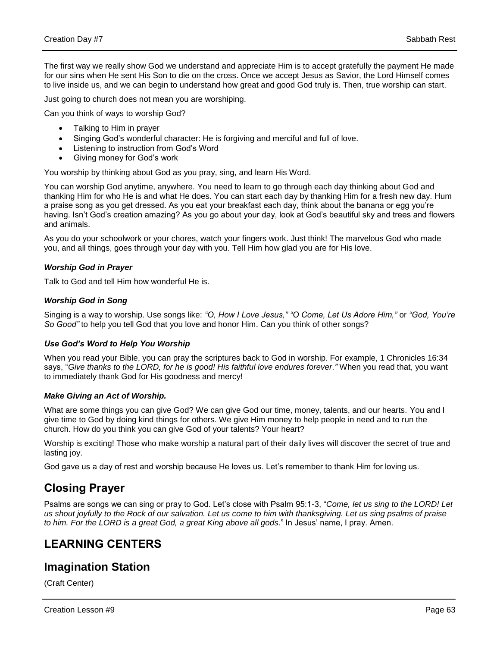The first way we really show God we understand and appreciate Him is to accept gratefully the payment He made for our sins when He sent His Son to die on the cross. Once we accept Jesus as Savior, the Lord Himself comes to live inside us, and we can begin to understand how great and good God truly is. Then, true worship can start.

Just going to church does not mean you are worshiping.

Can you think of ways to worship God?

- Talking to Him in prayer
- Singing God's wonderful character: He is forgiving and merciful and full of love.
- Listening to instruction from God's Word
- Giving money for God's work

You worship by thinking about God as you pray, sing, and learn His Word.

You can worship God anytime, anywhere. You need to learn to go through each day thinking about God and thanking Him for who He is and what He does. You can start each day by thanking Him for a fresh new day. Hum a praise song as you get dressed. As you eat your breakfast each day, think about the banana or egg you're having. Isn't God's creation amazing? As you go about your day, look at God's beautiful sky and trees and flowers and animals.

As you do your schoolwork or your chores, watch your fingers work. Just think! The marvelous God who made you, and all things, goes through your day with you. Tell Him how glad you are for His love.

#### *Worship God in Prayer*

Talk to God and tell Him how wonderful He is.

#### *Worship God in Song*

Singing is a way to worship. Use songs like: *"O, How I Love Jesus," "O Come, Let Us Adore Him,"* or *"God, You're So Good"* to help you tell God that you love and honor Him. Can you think of other songs?

#### *Use God's Word to Help You Worship*

When you read your Bible, you can pray the scriptures back to God in worship. For example, 1 Chronicles 16:34 says, "*Give thanks to the LORD, for he is good! His faithful love endures forever."* When you read that, you want to immediately thank God for His goodness and mercy!

#### *Make Giving an Act of Worship.*

What are some things you can give God? We can give God our time, money, talents, and our hearts. You and I give time to God by doing kind things for others. We give Him money to help people in need and to run the church. How do you think you can give God of your talents? Your heart?

Worship is exciting! Those who make worship a natural part of their daily lives will discover the secret of true and lasting joy.

God gave us a day of rest and worship because He loves us. Let's remember to thank Him for loving us.

## **Closing Prayer**

Psalms are songs we can sing or pray to God. Let's close with Psalm 95:1-3, "*Come, let us sing to the LORD! Let us shout joyfully to the Rock of our salvation. Let us come to him with thanksgiving. Let us sing psalms of praise to him. For the LORD is a great God, a great King above all gods*." In Jesus' name, I pray. Amen.

## **LEARNING CENTERS**

### **Imagination Station**

(Craft Center)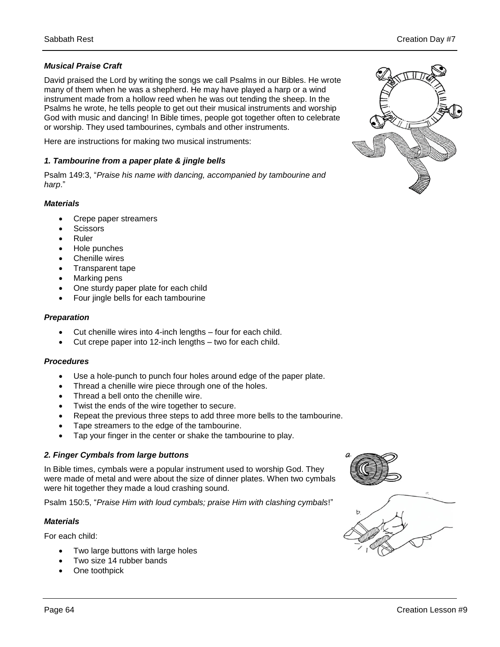#### *Musical Praise Craft*

David praised the Lord by writing the songs we call Psalms in our Bibles. He wrote many of them when he was a shepherd. He may have played a harp or a wind instrument made from a hollow reed when he was out tending the sheep. In the Psalms he wrote, he tells people to get out their musical instruments and worship God with music and dancing! In Bible times, people got together often to celebrate or worship. They used tambourines, cymbals and other instruments.

Here are instructions for making two musical instruments:

#### *1. Tambourine from a paper plate & jingle bells*

Psalm 149:3, "*Praise his name with dancing, accompanied by tambourine and harp*."

#### *Materials*

- Crepe paper streamers
- **Scissors**
- Ruler
- Hole punches
- Chenille wires
- Transparent tape
- Marking pens
- One sturdy paper plate for each child
- Four jingle bells for each tambourine

#### *Preparation*

- Cut chenille wires into 4-inch lengths four for each child.
- Cut crepe paper into 12-inch lengths two for each child.

#### *Procedures*

- Use a hole-punch to punch four holes around edge of the paper plate.
- Thread a chenille wire piece through one of the holes.
- Thread a bell onto the chenille wire.
- Twist the ends of the wire together to secure.
- Repeat the previous three steps to add three more bells to the tambourine.
- Tape streamers to the edge of the tambourine.
- Tap your finger in the center or shake the tambourine to play.

#### *2. Finger Cymbals from large buttons*

In Bible times, cymbals were a popular instrument used to worship God. They were made of metal and were about the size of dinner plates. When two cymbals were hit together they made a loud crashing sound.

Psalm 150:5, "*Praise Him with loud cymbals; praise Him with clashing cymbals*!"

#### *Materials*

For each child:

- Two large buttons with large holes
- Two size 14 rubber bands
- One toothpick





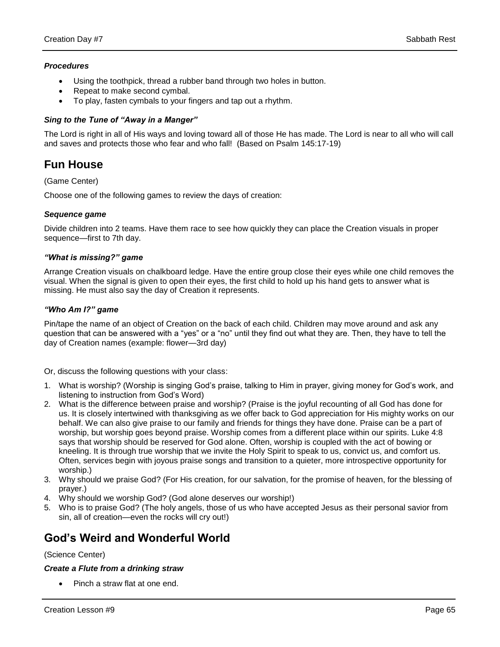#### *Procedures*

- Using the toothpick, thread a rubber band through two holes in button.
- Repeat to make second cymbal.
- To play, fasten cymbals to your fingers and tap out a rhythm.

#### *Sing to the Tune of "Away in a Manger"*

The Lord is right in all of His ways and loving toward all of those He has made. The Lord is near to all who will call and saves and protects those who fear and who fall! (Based on Psalm 145:17-19)

## **Fun House**

#### (Game Center)

Choose one of the following games to review the days of creation:

#### *Sequence game*

Divide children into 2 teams. Have them race to see how quickly they can place the Creation visuals in proper sequence—first to 7th day.

#### *"What is missing?" game*

Arrange Creation visuals on chalkboard ledge. Have the entire group close their eyes while one child removes the visual. When the signal is given to open their eyes, the first child to hold up his hand gets to answer what is missing. He must also say the day of Creation it represents.

#### *"Who Am I?" game*

Pin/tape the name of an object of Creation on the back of each child. Children may move around and ask any question that can be answered with a "yes" or a "no" until they find out what they are. Then, they have to tell the day of Creation names (example: flower—3rd day)

Or, discuss the following questions with your class:

- 1. What is worship? (Worship is singing God's praise, talking to Him in prayer, giving money for God's work, and listening to instruction from God's Word)
- 2. What is the difference between praise and worship? (Praise is the joyful recounting of all God has done for us. It is closely intertwined with thanksgiving as we offer back to God appreciation for His mighty works on our behalf. We can also give praise to our family and friends for things they have done. Praise can be a part of worship, but worship goes beyond praise. Worship comes from a different place within our spirits. Luke 4:8 says that worship should be reserved for God alone. Often, worship is coupled with the act of bowing or kneeling. It is through true worship that we invite the Holy Spirit to speak to us, convict us, and comfort us. Often, services begin with joyous praise songs and transition to a quieter, more introspective opportunity for worship.)
- 3. Why should we praise God? (For His creation, for our salvation, for the promise of heaven, for the blessing of prayer.)
- 4. Why should we worship God? (God alone deserves our worship!)
- 5. Who is to praise God? (The holy angels, those of us who have accepted Jesus as their personal savior from sin, all of creation—even the rocks will cry out!)

## **God's Weird and Wonderful World**

#### (Science Center)

#### *Create a Flute from a drinking straw*

Pinch a straw flat at one end.